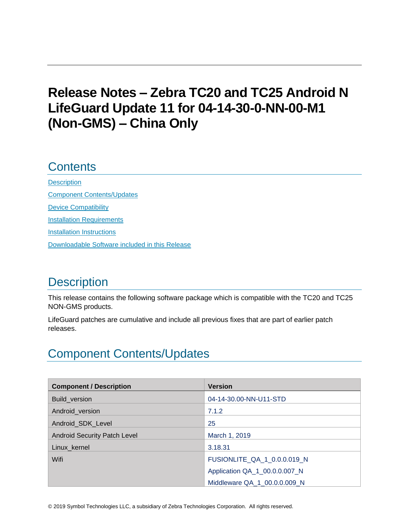# **Release Notes – Zebra TC20 and TC25 Android N LifeGuard Update 11 for 04-14-30-0-NN-00-M1 (Non-GMS) – China Only**

## **Contents**

**[Description](#page-0-0)** [Component Contents/Updates](#page-0-1) [Device Compatibility](#page-6-0) **[Installation Requirements](#page-7-0)** [Installation Instructions](#page-7-1) [Downloadable Software included in this Release](#page-9-0)

# <span id="page-0-0"></span>**Description**

This release contains the following software package which is compatible with the TC20 and TC25 NON-GMS products.

LifeGuard patches are cumulative and include all previous fixes that are part of earlier patch releases.

# <span id="page-0-1"></span>Component Contents/Updates

| <b>Component / Description</b>      | <b>Version</b>                |
|-------------------------------------|-------------------------------|
| Build_version                       | 04-14-30.00-NN-U11-STD        |
| Android_version                     | 7.1.2                         |
| Android_SDK_Level                   | 25                            |
| <b>Android Security Patch Level</b> | March 1, 2019                 |
| Linux_kernel                        | 3.18.31                       |
| Wifi                                | FUSIONLITE_QA_1_0.0.0.019_N   |
|                                     | Application QA_1_00.0.0.007_N |
|                                     | Middleware QA 1 00.0.0.009 N  |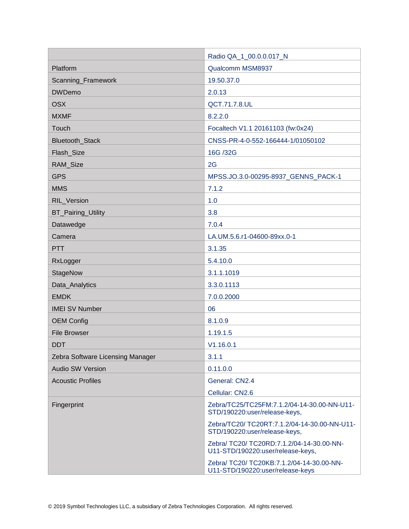|                                  | Radio QA_1_00.0.0.017_N                                                        |  |
|----------------------------------|--------------------------------------------------------------------------------|--|
| Platform                         | Qualcomm MSM8937                                                               |  |
| Scanning_Framework               | 19.50.37.0                                                                     |  |
| <b>DWDemo</b>                    | 2.0.13                                                                         |  |
| <b>OSX</b>                       | QCT.71.7.8.UL                                                                  |  |
| <b>MXMF</b>                      | 8.2.2.0                                                                        |  |
| Touch                            | Focaltech V1.1 20161103 (fw:0x24)                                              |  |
| <b>Bluetooth Stack</b>           | CNSS-PR-4-0-552-166444-1/01050102                                              |  |
| Flash_Size                       | 16G /32G                                                                       |  |
| RAM_Size                         | 2G                                                                             |  |
| <b>GPS</b>                       | MPSS.JO.3.0-00295-8937_GENNS_PACK-1                                            |  |
| <b>MMS</b>                       | 7.1.2                                                                          |  |
| RIL_Version                      | 1.0                                                                            |  |
| BT_Pairing_Utility               | 3.8                                                                            |  |
| Datawedge                        | 7.0.4                                                                          |  |
| Camera                           | LA.UM.5.6.r1-04600-89xx.0-1                                                    |  |
| <b>PTT</b>                       | 3.1.35                                                                         |  |
| RxLogger                         | 5.4.10.0                                                                       |  |
| StageNow                         | 3.1.1.1019                                                                     |  |
| Data_Analytics                   | 3.3.0.1113                                                                     |  |
| <b>EMDK</b>                      | 7.0.0.2000                                                                     |  |
| <b>IMEI SV Number</b>            | 06                                                                             |  |
| <b>OEM Config</b>                | 8.1.0.9                                                                        |  |
| <b>File Browser</b>              | 1.19.1.5                                                                       |  |
| <b>DDT</b>                       | V1.16.0.1                                                                      |  |
| Zebra Software Licensing Manager | 3.1.1                                                                          |  |
| <b>Audio SW Version</b>          | 0.11.0.0                                                                       |  |
| <b>Acoustic Profiles</b>         | General: CN2.4                                                                 |  |
|                                  | Cellular: CN2.6                                                                |  |
| Fingerprint                      | Zebra/TC25/TC25FM:7.1.2/04-14-30.00-NN-U11-<br>STD/190220:user/release-keys,   |  |
|                                  | Zebra/TC20/ TC20RT:7.1.2/04-14-30.00-NN-U11-<br>STD/190220:user/release-keys,  |  |
|                                  | Zebra/ TC20/ TC20RD:7.1.2/04-14-30.00-NN-<br>U11-STD/190220:user/release-keys, |  |
|                                  | Zebra/ TC20/ TC20KB:7.1.2/04-14-30.00-NN-<br>U11-STD/190220:user/release-keys  |  |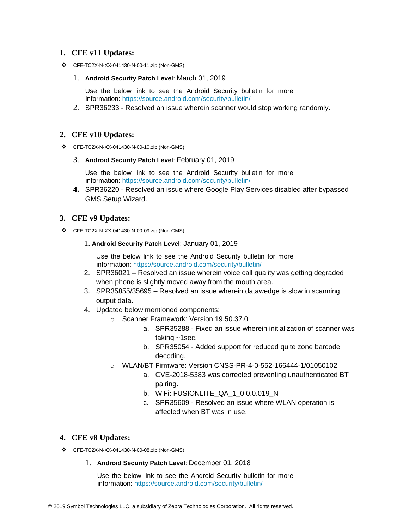#### **1. CFE v11 Updates:**

- ❖ CFE-TC2X-N-XX-041430-N-00-11.zip (Non-GMS)
	- 1. **Android Security Patch Level**: March 01, 2019

Use the below link to see the Android Security bulletin for more information:<https://source.android.com/security/bulletin/>

2. SPR36233 - Resolved an issue wherein scanner would stop working randomly.

#### **2. CFE v10 Updates:**

- ❖ CFE-TC2X-N-XX-041430-N-00-10.zip (Non-GMS)
	- 3. **Android Security Patch Level**: February 01, 2019

Use the below link to see the Android Security bulletin for more information:<https://source.android.com/security/bulletin/>

**4.** SPR36220 - Resolved an issue where Google Play Services disabled after bypassed GMS Setup Wizard.

#### **3. CFE v9 Updates:**

- ❖ CFE-TC2X-N-XX-041430-N-00-09.zip (Non-GMS)
	- 1. **Android Security Patch Level**: January 01, 2019

Use the below link to see the Android Security bulletin for more information:<https://source.android.com/security/bulletin/>

- 2. SPR36021 Resolved an issue wherein voice call quality was getting degraded when phone is slightly moved away from the mouth area.
- 3. SPR35855/35695 Resolved an issue wherein datawedge is slow in scanning output data.
- 4. Updated below mentioned components:
	- o Scanner Framework: Version 19.50.37.0
		- a. SPR35288 Fixed an issue wherein initialization of scanner was taking ~1sec.
		- b. SPR35054 Added support for reduced quite zone barcode decoding.
	- o WLAN/BT Firmware: Version CNSS-PR-4-0-552-166444-1/01050102
		- a. CVE-2018-5383 was corrected preventing unauthenticated BT pairing.
		- b. WiFi: FUSIONLITE\_QA\_1\_0.0.0.019\_N
		- c. SPR35609 Resolved an issue where WLAN operation is affected when BT was in use.

#### **4. CFE v8 Updates:**

- ❖ CFE-TC2X-N-XX-041430-N-00-08.zip (Non-GMS)
	- 1. **Android Security Patch Level**: December 01, 2018

Use the below link to see the Android Security bulletin for more information:<https://source.android.com/security/bulletin/>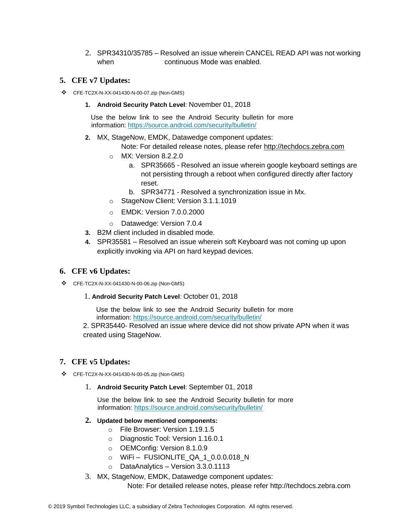2. SPR34310/35785 – Resolved an issue wherein CANCEL READ API was not working when continuous Mode was enabled.

#### **5. CFE v7 Updates:**

- ❖ CFE-TC2X-N-XX-041430-N-00-07.zip (Non-GMS)
	- **1. Android Security Patch Level**: November 01, 2018

Use the below link to see the Android Security bulletin for more information:<https://source.android.com/security/bulletin/>

**2.** MX, StageNow, EMDK, Datawedge component updates:

Note: For detailed release notes, please refer [http://techdocs.zebra.com](http://techdocs.zebra.com/)

- o MX: Version 8.2.2.0
	- a. SPR35665 Resolved an issue wherein google keyboard settings are not persisting through a reboot when configured directly after factory reset.
	- b. SPR34771 Resolved a synchronization issue in Mx.
- o StageNow Client: Version 3.1.1.1019
- o EMDK: Version 7.0.0.2000
- o Datawedge: Version 7.0.4
- **3.** B2M client included in disabled mode.
- **4.** SPR35581 Resolved an issue wherein soft Keyboard was not coming up upon explicitly invoking via API on hard keypad devices.

#### **6. CFE v6 Updates:**

- ❖ CFE-TC2X-N-XX-041430-N-00-06.zip (Non-GMS)
	- 1. **Android Security Patch Level**: October 01, 2018

Use the below link to see the Android Security bulletin for more information:<https://source.android.com/security/bulletin/>

2. SPR35440- Resolved an issue where device did not show private APN when it was created using StageNow.

#### **7. CFE v5 Updates:**

- ❖ CFE-TC2X-N-XX-041430-N-00-05.zip (Non-GMS)
	- 1. **Android Security Patch Level**: September 01, 2018

Use the below link to see the Android Security bulletin for more information:<https://source.android.com/security/bulletin/>

- **2. Updated below mentioned components:**
	- o File Browser: Version 1.19.1.5
	- o Diagnostic Tool: Version 1.16.0.1
	- o OEMConfig: Version 8.1.0.9
	- o WiFi FUSIONLITE\_QA\_1\_0.0.0.018\_N
	- o DataAnalytics Version 3.3.0.1113
- 3. MX, StageNow, EMDK, Datawedge component updates:

Note: For detailed release notes, please refer [http://techdocs.zebra.com](http://techdocs.zebra.com/)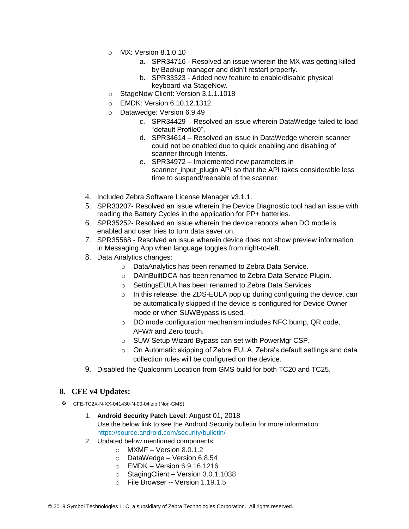- o MX: Version 8.1.0.10
	- a. SPR34716 Resolved an issue wherein the MX was getting killed by Backup manager and didn't restart properly.
	- b. SPR33323 Added new feature to enable/disable physical keyboard via StageNow.
- o StageNow Client: Version 3.1.1.1018
- o EMDK: Version 6.10.12.1312
- o Datawedge: Version 6.9.49
	- c. SPR34429 Resolved an issue wherein DataWedge failed to load "default Profile0".
	- d. SPR34614 Resolved an issue in DataWedge wherein scanner could not be enabled due to quick enabling and disabling of scanner through Intents.
	- e. SPR34972 Implemented new parameters in scanner input plugin API so that the API takes considerable less time to suspend/reenable of the scanner.
- 4. Included Zebra Software License Manager v3.1.1.
- 5. SPR33207- Resolved an issue wherein the Device Diagnostic tool had an issue with reading the Battery Cycles in the application for PP+ batteries.
- 6. SPR35252- Resolved an issue wherein the device reboots when DO mode is enabled and user tries to turn data saver on.
- 7. SPR35568 Resolved an issue wherein device does not show preview information in Messaging App when language toggles from right-to-left.
- 8. Data Analytics changes:
	- o DataAnalytics has been renamed to Zebra Data Service.
	- o DAInBuiltDCA has been renamed to Zebra Data Service Plugin.
	- o SettingsEULA has been renamed to Zebra Data Services.
	- $\circ$  In this release, the ZDS-EULA pop up during configuring the device, can be automatically skipped if the device is configured for Device Owner mode or when SUWBypass is used.
	- o DO mode configuration mechanism includes NFC bump, QR code, AFW# and Zero touch.
	- o SUW Setup Wizard Bypass can set with PowerMgr CSP.
	- $\circ$  On Automatic skipping of Zebra EULA, Zebra's default settings and data collection rules will be configured on the device.
- 9. Disabled the Qualcomm Location from GMS build for both TC20 and TC25.

#### **8. CFE v4 Updates:**

- ❖ CFE-TC2X-N-XX-041430-N-00-04.zip (Non-GMS)
	- 1. **Android Security Patch Level**: August 01, 2018 Use the below link to see the Android Security bulletin for more information: <https://source.android.com/security/bulletin/>
	- 2. Updated below mentioned components:
		- $\circ$  MXMF Version 8.0.1.2
		- $\circ$  DataWedge Version 6.8.54
		- o EMDK Version 6.9.16.1216
		- o StagingClient Version 3.0.1.1038
		- o File Browser -- Version 1.19.1.5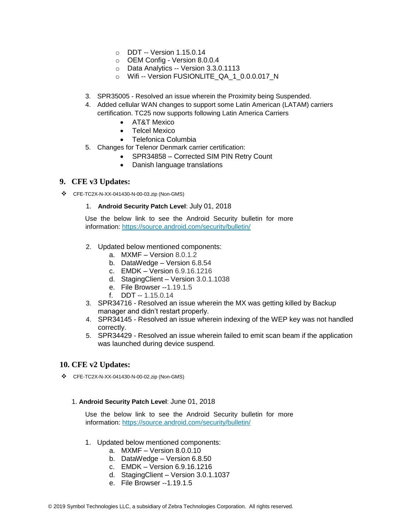- o DDT -- Version 1.15.0.14
- o OEM Config Version 8.0.0.4
- o Data Analytics -- Version 3.3.0.1113
- o Wifi -- Version FUSIONLITE\_QA\_1\_0.0.0.017\_N
- 3. SPR35005 Resolved an issue wherein the Proximity being Suspended.
- 4. Added cellular WAN changes to support some Latin American (LATAM) carriers certification. TC25 now supports following Latin America Carriers
	- AT&T Mexico
		- Telcel Mexico
	- Telefonica Columbia
- 5. Changes for Telenor Denmark carrier certification:
	- SPR34858 Corrected SIM PIN Retry Count
	- Danish language translations

#### **9. CFE v3 Updates:**

❖ CFE-TC2X-N-XX-041430-N-00-03.zip (Non-GMS)

#### 1. **Android Security Patch Level**: July 01, 2018

Use the below link to see the Android Security bulletin for more information:<https://source.android.com/security/bulletin/>

- 2. Updated below mentioned components:
	- a. MXMF Version 8.0.1.2
	- b. DataWedge Version 6.8.54
	- c. EMDK Version 6.9.16.1216
	- d. StagingClient Version 3.0.1.1038
	- e. File Browser --1.19.1.5
	- f. DDT -- 1.15.0.14
- 3. SPR34716 Resolved an issue wherein the MX was getting killed by Backup manager and didn't restart properly.
- 4. SPR34145 Resolved an issue wherein indexing of the WEP key was not handled correctly.
- 5. SPR34429 Resolved an issue wherein failed to emit scan beam if the application was launched during device suspend.

#### **10. CFE v2 Updates:**

❖ CFE-TC2X-N-XX-041430-N-00-02.zip (Non-GMS)

#### 1. **Android Security Patch Level**: June 01, 2018

Use the below link to see the Android Security bulletin for more information:<https://source.android.com/security/bulletin/>

- 1. Updated below mentioned components:
	- a. MXMF Version 8.0.0.10
	- b. DataWedge Version 6.8.50
	- c. EMDK Version 6.9.16.1216
	- d. StagingClient Version 3.0.1.1037
	- e. File Browser --1.19.1.5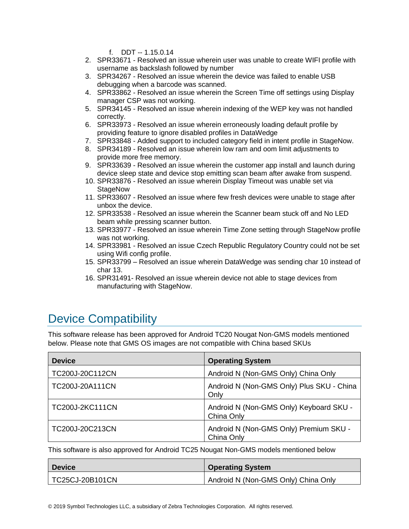f. DDT -- 1.15.0.14

- 2. SPR33671 Resolved an issue wherein user was unable to create WIFI profile with username as backslash followed by number
- 3. SPR34267 Resolved an issue wherein the device was failed to enable USB debugging when a barcode was scanned.
- 4. SPR33862 Resolved an issue wherein the Screen Time off settings using Display manager CSP was not working.
- 5. SPR34145 Resolved an issue wherein indexing of the WEP key was not handled correctly.
- 6. SPR33973 Resolved an issue wherein erroneously loading default profile by providing feature to ignore disabled profiles in DataWedge
- 7. SPR33848 Added support to included category field in intent profile in StageNow.
- 8. SPR34189 Resolved an issue wherein low ram and oom limit adjustments to provide more free memory.
- 9. SPR33639 Resolved an issue wherein the customer app install and launch during device sleep state and device stop emitting scan beam after awake from suspend.
- 10. SPR33876 Resolved an issue wherein Display Timeout was unable set via **StageNow**
- 11. SPR33607 Resolved an issue where few fresh devices were unable to stage after unbox the device.
- 12. SPR33538 Resolved an issue wherein the Scanner beam stuck off and No LED beam while pressing scanner button.
- 13. SPR33977 Resolved an issue wherein Time Zone setting through StageNow profile was not working.
- 14. SPR33981 Resolved an issue Czech Republic Regulatory Country could not be set using Wifi config profile.
- 15. SPR33799 Resolved an issue wherein DataWedge was sending char 10 instead of char 13.
- 16. SPR31491- Resolved an issue wherein device not able to stage devices from manufacturing with StageNow.

# <span id="page-6-0"></span>Device Compatibility

This software release has been approved for Android TC20 Nougat Non-GMS models mentioned below. Please note that GMS OS images are not compatible with China based SKUs

| <b>Device</b>          | <b>Operating System</b>                               |
|------------------------|-------------------------------------------------------|
| TC200J-20C112CN        | Android N (Non-GMS Only) China Only                   |
| TC200J-20A111CN        | Android N (Non-GMS Only) Plus SKU - China<br>Only     |
| <b>TC200J-2KC111CN</b> | Android N (Non-GMS Only) Keyboard SKU -<br>China Only |
| TC200J-20C213CN        | Android N (Non-GMS Only) Premium SKU -<br>China Only  |

This software is also approved for Android TC25 Nougat Non-GMS models mentioned below

| <b>Device</b>   | <b>Operating System</b>             |
|-----------------|-------------------------------------|
| TC25CJ-20B101CN | Android N (Non-GMS Only) China Only |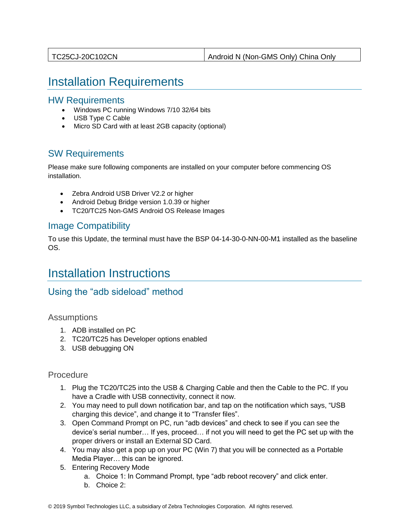<span id="page-7-0"></span>

| Android N (Non-GMS Only) China Only |
|-------------------------------------|
|-------------------------------------|

## Installation Requirements

#### HW Requirements

- Windows PC running Windows 7/10 32/64 bits
- USB Type C Cable
- Micro SD Card with at least 2GB capacity (optional)

### SW Requirements

Please make sure following components are installed on your computer before commencing OS installation.

- Zebra Android USB Driver V2.2 or higher
- Android Debug Bridge version 1.0.39 or higher
- TC20/TC25 Non-GMS Android OS Release Images

### Image Compatibility

To use this Update, the terminal must have the BSP 04-14-30-0-NN-00-M1 installed as the baseline OS.

# <span id="page-7-1"></span>Installation Instructions

### Using the "adb sideload" method

#### **Assumptions**

- 1. ADB installed on PC
- 2. TC20/TC25 has Developer options enabled
- 3. USB debugging ON

#### Procedure

- 1. Plug the TC20/TC25 into the USB & Charging Cable and then the Cable to the PC. If you have a Cradle with USB connectivity, connect it now.
- 2. You may need to pull down notification bar, and tap on the notification which says, "USB charging this device", and change it to "Transfer files".
- 3. Open Command Prompt on PC, run "adb devices" and check to see if you can see the device's serial number… If yes, proceed… if not you will need to get the PC set up with the proper drivers or install an External SD Card.
- 4. You may also get a pop up on your PC (Win 7) that you will be connected as a Portable Media Player… this can be ignored.
- 5. Entering Recovery Mode
	- a. Choice 1: In Command Prompt, type "adb reboot recovery" and click enter.
	- b. Choice 2: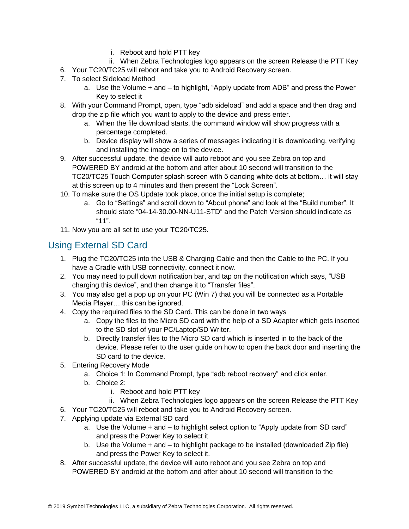- i. Reboot and hold PTT key
- ii. When Zebra Technologies logo appears on the screen Release the PTT Key
- 6. Your TC20/TC25 will reboot and take you to Android Recovery screen.
- 7. To select Sideload Method
	- a. Use the Volume + and to highlight, "Apply update from ADB" and press the Power Key to select it
- 8. With your Command Prompt, open, type "adb sideload" and add a space and then drag and drop the zip file which you want to apply to the device and press enter.
	- a. When the file download starts, the command window will show progress with a percentage completed.
	- b. Device display will show a series of messages indicating it is downloading, verifying and installing the image on to the device.
- 9. After successful update, the device will auto reboot and you see Zebra on top and POWERED BY android at the bottom and after about 10 second will transition to the TC20/TC25 Touch Computer splash screen with 5 dancing white dots at bottom… it will stay at this screen up to 4 minutes and then present the "Lock Screen".
- 10. To make sure the OS Update took place, once the initial setup is complete;
	- a. Go to "Settings" and scroll down to "About phone" and look at the "Build number". It should state "04-14-30.00-NN-U11-STD" and the Patch Version should indicate as "11".
- 11. Now you are all set to use your TC20/TC25.

## Using External SD Card

- 1. Plug the TC20/TC25 into the USB & Charging Cable and then the Cable to the PC. If you have a Cradle with USB connectivity, connect it now.
- 2. You may need to pull down notification bar, and tap on the notification which says, "USB charging this device", and then change it to "Transfer files".
- 3. You may also get a pop up on your PC (Win 7) that you will be connected as a Portable Media Player… this can be ignored.
- 4. Copy the required files to the SD Card. This can be done in two ways
	- a. Copy the files to the Micro SD card with the help of a SD Adapter which gets inserted to the SD slot of your PC/Laptop/SD Writer.
	- b. Directly transfer files to the Micro SD card which is inserted in to the back of the device. Please refer to the user guide on how to open the back door and inserting the SD card to the device.
- 5. Entering Recovery Mode
	- a. Choice 1: In Command Prompt, type "adb reboot recovery" and click enter.
	- b. Choice 2:
		- i. Reboot and hold PTT key
		- ii. When Zebra Technologies logo appears on the screen Release the PTT Key
- 6. Your TC20/TC25 will reboot and take you to Android Recovery screen.
- 7. Applying update via External SD card
	- a. Use the Volume + and to highlight select option to "Apply update from SD card" and press the Power Key to select it
	- b. Use the Volume + and to highlight package to be installed (downloaded Zip file) and press the Power Key to select it.
- 8. After successful update, the device will auto reboot and you see Zebra on top and POWERED BY android at the bottom and after about 10 second will transition to the